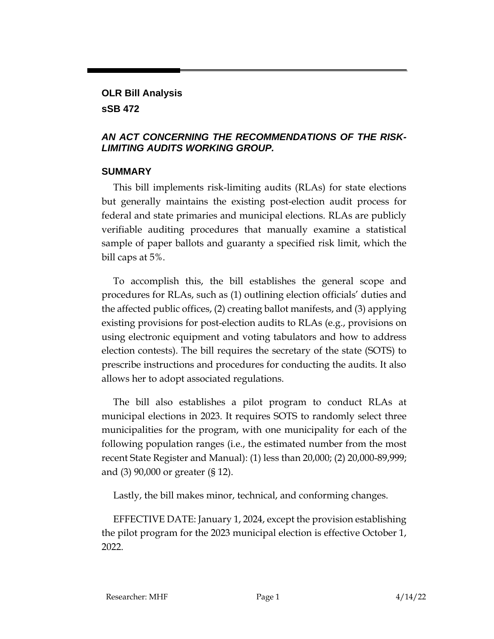#### **OLR Bill Analysis**

#### **sSB 472**

### *AN ACT CONCERNING THE RECOMMENDATIONS OF THE RISK-LIMITING AUDITS WORKING GROUP.*

#### **SUMMARY**

This bill implements risk-limiting audits (RLAs) for state elections but generally maintains the existing post-election audit process for federal and state primaries and municipal elections. RLAs are publicly verifiable auditing procedures that manually examine a statistical sample of paper ballots and guaranty a specified risk limit, which the bill caps at 5%.

To accomplish this, the bill establishes the general scope and procedures for RLAs, such as (1) outlining election officials' duties and the affected public offices, (2) creating ballot manifests, and (3) applying existing provisions for post-election audits to RLAs (e.g., provisions on using electronic equipment and voting tabulators and how to address election contests). The bill requires the secretary of the state (SOTS) to prescribe instructions and procedures for conducting the audits. It also allows her to adopt associated regulations.

The bill also establishes a pilot program to conduct RLAs at municipal elections in 2023. It requires SOTS to randomly select three municipalities for the program, with one municipality for each of the following population ranges (i.e., the estimated number from the most recent State Register and Manual): (1) less than 20,000; (2) 20,000-89,999; and (3) 90,000 or greater (§ 12).

Lastly, the bill makes minor, technical, and conforming changes.

EFFECTIVE DATE: January 1, 2024, except the provision establishing the pilot program for the 2023 municipal election is effective October 1, 2022.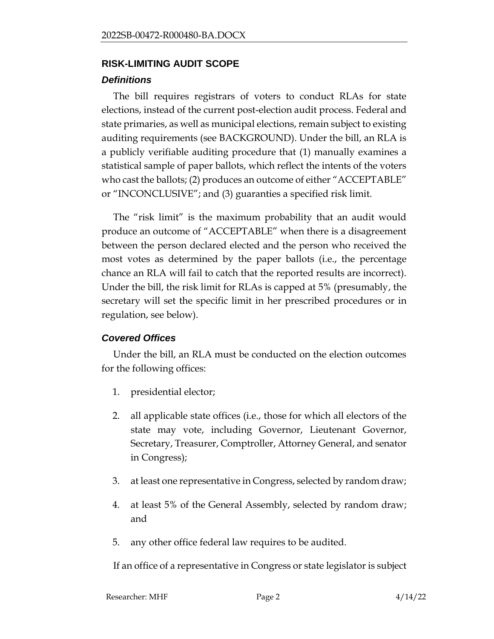#### **RISK-LIMITING AUDIT SCOPE**

#### *Definitions*

The bill requires registrars of voters to conduct RLAs for state elections, instead of the current post-election audit process. Federal and state primaries, as well as municipal elections, remain subject to existing auditing requirements (see BACKGROUND). Under the bill, an RLA is a publicly verifiable auditing procedure that (1) manually examines a statistical sample of paper ballots, which reflect the intents of the voters who cast the ballots; (2) produces an outcome of either "ACCEPTABLE" or "INCONCLUSIVE"; and (3) guaranties a specified risk limit.

The "risk limit" is the maximum probability that an audit would produce an outcome of "ACCEPTABLE" when there is a disagreement between the person declared elected and the person who received the most votes as determined by the paper ballots (i.e., the percentage chance an RLA will fail to catch that the reported results are incorrect). Under the bill, the risk limit for RLAs is capped at 5% (presumably, the secretary will set the specific limit in her prescribed procedures or in regulation, see below).

### *Covered Offices*

Under the bill, an RLA must be conducted on the election outcomes for the following offices:

- 1. presidential elector;
- 2. all applicable state offices (i.e., those for which all electors of the state may vote, including Governor, Lieutenant Governor, Secretary, Treasurer, Comptroller, Attorney General, and senator in Congress);
- 3. at least one representative in Congress, selected by random draw;
- 4. at least 5% of the General Assembly, selected by random draw; and
- 5. any other office federal law requires to be audited.

If an office of a representative in Congress or state legislator is subject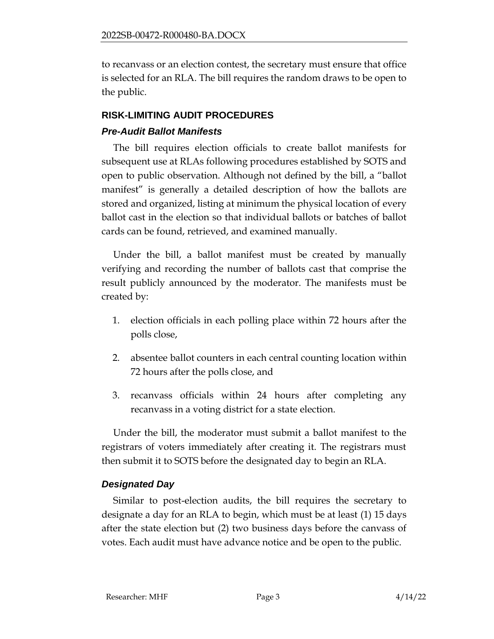to recanvass or an election contest, the secretary must ensure that office is selected for an RLA. The bill requires the random draws to be open to the public.

# **RISK-LIMITING AUDIT PROCEDURES**

## *Pre-Audit Ballot Manifests*

The bill requires election officials to create ballot manifests for subsequent use at RLAs following procedures established by SOTS and open to public observation. Although not defined by the bill, a "ballot manifest" is generally a detailed description of how the ballots are stored and organized, listing at minimum the physical location of every ballot cast in the election so that individual ballots or batches of ballot cards can be found, retrieved, and examined manually.

Under the bill, a ballot manifest must be created by manually verifying and recording the number of ballots cast that comprise the result publicly announced by the moderator. The manifests must be created by:

- 1. election officials in each polling place within 72 hours after the polls close,
- 2. absentee ballot counters in each central counting location within 72 hours after the polls close, and
- 3. recanvass officials within 24 hours after completing any recanvass in a voting district for a state election.

Under the bill, the moderator must submit a ballot manifest to the registrars of voters immediately after creating it. The registrars must then submit it to SOTS before the designated day to begin an RLA.

# *Designated Day*

Similar to post-election audits, the bill requires the secretary to designate a day for an RLA to begin, which must be at least (1) 15 days after the state election but (2) two business days before the canvass of votes. Each audit must have advance notice and be open to the public.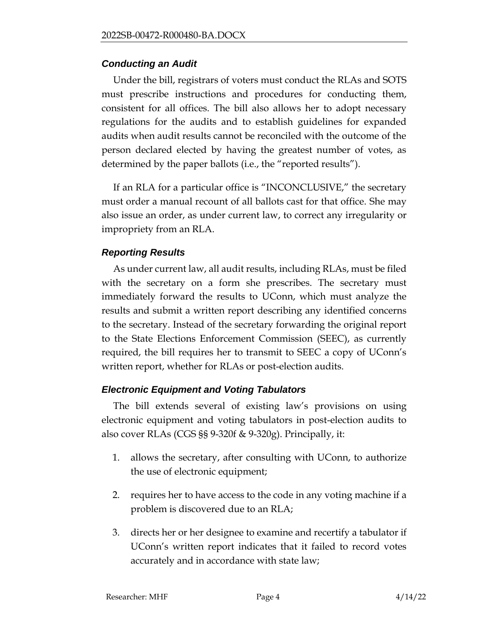#### *Conducting an Audit*

Under the bill, registrars of voters must conduct the RLAs and SOTS must prescribe instructions and procedures for conducting them, consistent for all offices. The bill also allows her to adopt necessary regulations for the audits and to establish guidelines for expanded audits when audit results cannot be reconciled with the outcome of the person declared elected by having the greatest number of votes, as determined by the paper ballots (i.e., the "reported results").

If an RLA for a particular office is "INCONCLUSIVE," the secretary must order a manual recount of all ballots cast for that office. She may also issue an order, as under current law, to correct any irregularity or impropriety from an RLA.

## *Reporting Results*

As under current law, all audit results, including RLAs, must be filed with the secretary on a form she prescribes. The secretary must immediately forward the results to UConn, which must analyze the results and submit a written report describing any identified concerns to the secretary. Instead of the secretary forwarding the original report to the State Elections Enforcement Commission (SEEC), as currently required, the bill requires her to transmit to SEEC a copy of UConn's written report, whether for RLAs or post-election audits.

### *Electronic Equipment and Voting Tabulators*

The bill extends several of existing law's provisions on using electronic equipment and voting tabulators in post-election audits to also cover RLAs (CGS §§ 9-320f & 9-320g). Principally, it:

- 1. allows the secretary, after consulting with UConn, to authorize the use of electronic equipment;
- 2. requires her to have access to the code in any voting machine if a problem is discovered due to an RLA;
- 3. directs her or her designee to examine and recertify a tabulator if UConn's written report indicates that it failed to record votes accurately and in accordance with state law;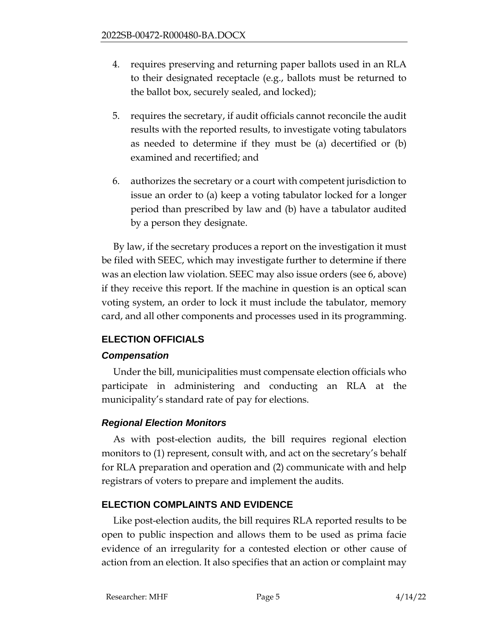- 4. requires preserving and returning paper ballots used in an RLA to their designated receptacle (e.g., ballots must be returned to the ballot box, securely sealed, and locked);
- 5. requires the secretary, if audit officials cannot reconcile the audit results with the reported results, to investigate voting tabulators as needed to determine if they must be (a) decertified or (b) examined and recertified; and
- 6. authorizes the secretary or a court with competent jurisdiction to issue an order to (a) keep a voting tabulator locked for a longer period than prescribed by law and (b) have a tabulator audited by a person they designate.

By law, if the secretary produces a report on the investigation it must be filed with SEEC, which may investigate further to determine if there was an election law violation. SEEC may also issue orders (see 6, above) if they receive this report. If the machine in question is an optical scan voting system, an order to lock it must include the tabulator, memory card, and all other components and processes used in its programming.

# **ELECTION OFFICIALS**

# *Compensation*

Under the bill, municipalities must compensate election officials who participate in administering and conducting an RLA at the municipality's standard rate of pay for elections.

# *Regional Election Monitors*

As with post-election audits, the bill requires regional election monitors to (1) represent, consult with, and act on the secretary's behalf for RLA preparation and operation and (2) communicate with and help registrars of voters to prepare and implement the audits.

# **ELECTION COMPLAINTS AND EVIDENCE**

Like post-election audits, the bill requires RLA reported results to be open to public inspection and allows them to be used as prima facie evidence of an irregularity for a contested election or other cause of action from an election. It also specifies that an action or complaint may